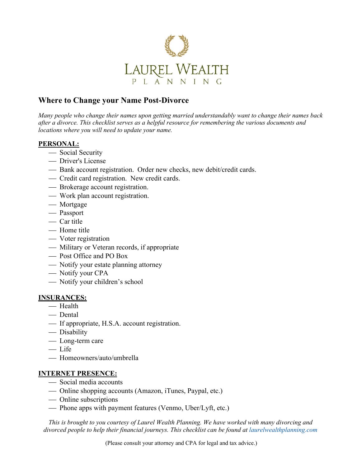

# **Where to Change your Name Post-Divorce**

*Many people who change their names upon getting married understandably want to change their names back after a divorce. This checklist serves as a helpful resource for remembering the various documents and locations where you will need to update your name.* 

#### **PERSONAL:**

- Social Security
- Driver's License
- Bank account registration. Order new checks, new debit/credit cards.
- ¾ Credit card registration. New credit cards.
- Brokerage account registration.
- ¾ Work plan account registration.
- Mortgage
- Passport
- $-\text{Car title}$
- Home title
- Voter registration
- Military or Veteran records, if appropriate
- Post Office and PO Box
- Notify your estate planning attorney
- Notify your CPA
- Notify your children's school

#### **INSURANCES:**

- Health
- Dental
- If appropriate, H.S.A. account registration.
- ¾ Disability
- Long-term care
- Life
- ¾ Homeowners/auto/umbrella

### **INTERNET PRESENCE:**

- Social media accounts
- ¾ Online shopping accounts (Amazon, iTunes, Paypal, etc.)
- Online subscriptions
- Phone apps with payment features (Venmo, Uber/Lyft, etc.)

*This is brought to you courtesy of Laurel Wealth Planning. We have worked with many divorcing and divorced people to help their financial journeys. This checklist can be found at laurelwealthplanning.com*